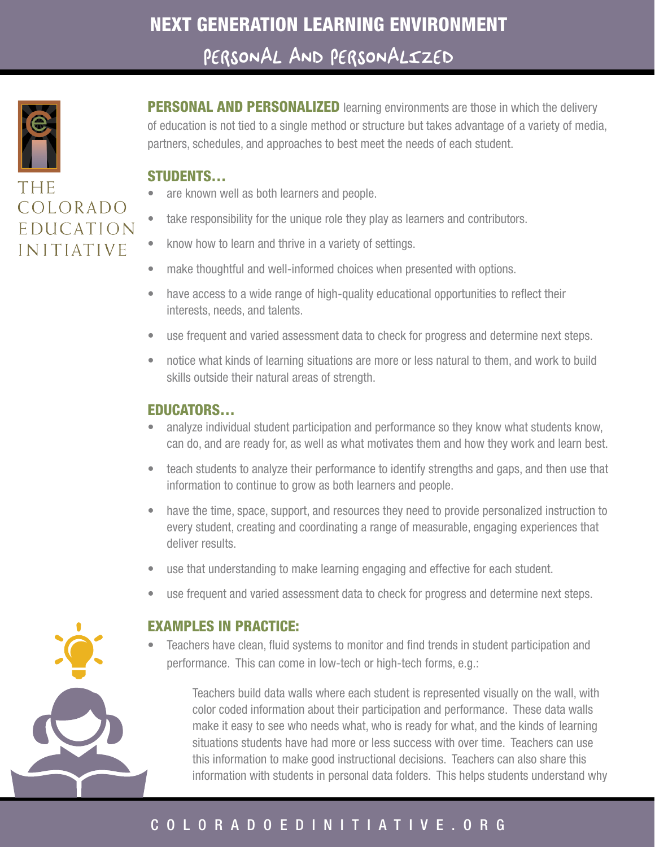

THE COLORADO EDUCATION INITIATIVE

PERSONAL AND PERSONALIZED learning environments are those in which the delivery of education is not tied to a single method or structure but takes advantage of a variety of media, partners, schedules, and approaches to best meet the needs of each student.

### STUDENTS…

- are known well as both learners and people.
- take responsibility for the unique role they play as learners and contributors.
- know how to learn and thrive in a variety of settings.
- make thoughtful and well-informed choices when presented with options.
- have access to a wide range of high-quality educational opportunities to reflect their interests, needs, and talents.
- use frequent and varied assessment data to check for progress and determine next steps.
- notice what kinds of learning situations are more or less natural to them, and work to build skills outside their natural areas of strength.

## EDUCATORS…

- analyze individual student participation and performance so they know what students know, can do, and are ready for, as well as what motivates them and how they work and learn best.
- teach students to analyze their performance to identify strengths and gaps, and then use that information to continue to grow as both learners and people.
- have the time, space, support, and resources they need to provide personalized instruction to every student, creating and coordinating a range of measurable, engaging experiences that deliver results.
- use that understanding to make learning engaging and effective for each student.
- use frequent and varied assessment data to check for progress and determine next steps.

#### EXAMPLES IN PRACTICE:

Teachers have clean, fluid systems to monitor and find trends in student participation and performance. This can come in low-tech or high-tech forms, e.g.:

Teachers build data walls where each student is represented visually on the wall, with color coded information about their participation and performance. These data walls make it easy to see who needs what, who is ready for what, and the kinds of learning situations students have had more or less success with over time. Teachers can use this information to make good instructional decisions. Teachers can also share this information with students in personal data folders. This helps students understand why

# C O L O R A D O E D I N I T I A T I V E . O R G